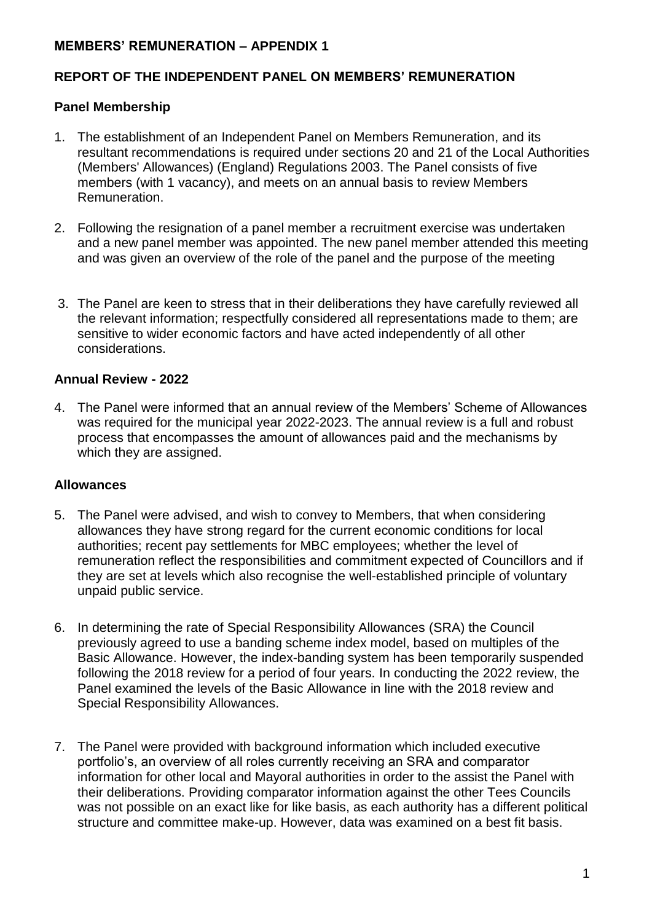## **MEMBERS' REMUNERATION – APPENDIX 1**

## **REPORT OF THE INDEPENDENT PANEL ON MEMBERS' REMUNERATION**

#### **Panel Membership**

- 1. The establishment of an Independent Panel on Members Remuneration, and its resultant recommendations is required under sections 20 and 21 of the Local Authorities (Members' Allowances) (England) Regulations 2003. The Panel consists of five members (with 1 vacancy), and meets on an annual basis to review Members Remuneration.
- 2. Following the resignation of a panel member a recruitment exercise was undertaken and a new panel member was appointed. The new panel member attended this meeting and was given an overview of the role of the panel and the purpose of the meeting
- 3. The Panel are keen to stress that in their deliberations they have carefully reviewed all the relevant information; respectfully considered all representations made to them; are sensitive to wider economic factors and have acted independently of all other considerations.

#### **Annual Review - 2022**

4. The Panel were informed that an annual review of the Members' Scheme of Allowances was required for the municipal year 2022-2023. The annual review is a full and robust process that encompasses the amount of allowances paid and the mechanisms by which they are assigned.

#### **Allowances**

- 5. The Panel were advised, and wish to convey to Members, that when considering allowances they have strong regard for the current economic conditions for local authorities; recent pay settlements for MBC employees; whether the level of remuneration reflect the responsibilities and commitment expected of Councillors and if they are set at levels which also recognise the well-established principle of voluntary unpaid public service.
- 6. In determining the rate of Special Responsibility Allowances (SRA) the Council previously agreed to use a banding scheme index model, based on multiples of the Basic Allowance. However, the index-banding system has been temporarily suspended following the 2018 review for a period of four years. In conducting the 2022 review, the Panel examined the levels of the Basic Allowance in line with the 2018 review and Special Responsibility Allowances.
- 7. The Panel were provided with background information which included executive portfolio's, an overview of all roles currently receiving an SRA and comparator information for other local and Mayoral authorities in order to the assist the Panel with their deliberations. Providing comparator information against the other Tees Councils was not possible on an exact like for like basis, as each authority has a different political structure and committee make-up. However, data was examined on a best fit basis.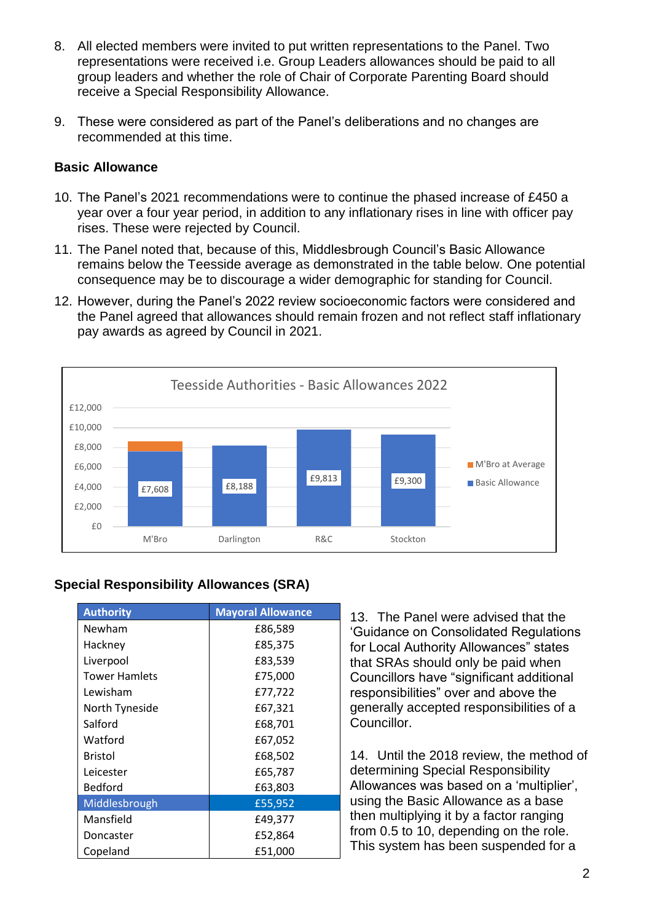- 8. All elected members were invited to put written representations to the Panel. Two representations were received i.e. Group Leaders allowances should be paid to all group leaders and whether the role of Chair of Corporate Parenting Board should receive a Special Responsibility Allowance.
- 9. These were considered as part of the Panel's deliberations and no changes are recommended at this time.

## **Basic Allowance**

- 10. The Panel's 2021 recommendations were to continue the phased increase of £450 a year over a four year period, in addition to any inflationary rises in line with officer pay rises. These were rejected by Council.
- 11. The Panel noted that, because of this, Middlesbrough Council's Basic Allowance remains below the Teesside average as demonstrated in the table below. One potential consequence may be to discourage a wider demographic for standing for Council.
- 12. However, during the Panel's 2022 review socioeconomic factors were considered and the Panel agreed that allowances should remain frozen and not reflect staff inflationary pay awards as agreed by Council in 2021.



## **Special Responsibility Allowances (SRA)**

| <b>Authority</b>     | <b>Mayoral Allowance</b> |
|----------------------|--------------------------|
| Newham               | £86,589                  |
| Hackney              | £85,375                  |
| Liverpool            | £83,539                  |
| <b>Tower Hamlets</b> | £75,000                  |
| Lewisham             | £77,722                  |
| North Tyneside       | £67,321                  |
| Salford              | £68,701                  |
| Watford              | £67,052                  |
| <b>Bristol</b>       | £68,502                  |
| Leicester            | £65,787                  |
| <b>Bedford</b>       | £63,803                  |
| Middlesbrough        | £55,952                  |
| Mansfield            | £49,377                  |
| Doncaster            | £52,864                  |
| Copeland             | £51,000                  |

13. The Panel were advised that the 'Guidance on Consolidated Regulations for Local Authority Allowances" states that SRAs should only be paid when Councillors have "significant additional responsibilities" over and above the generally accepted responsibilities of a Councillor.

14. Until the 2018 review, the method of determining Special Responsibility Allowances was based on a 'multiplier', using the Basic Allowance as a base then multiplying it by a factor ranging from 0.5 to 10, depending on the role. This system has been suspended for a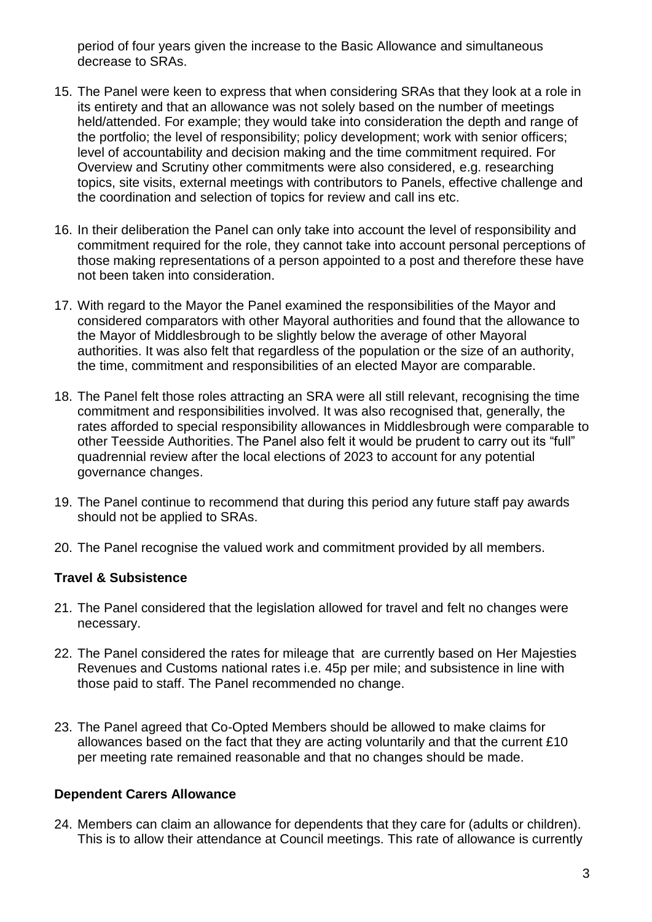period of four years given the increase to the Basic Allowance and simultaneous decrease to SRAs.

- 15. The Panel were keen to express that when considering SRAs that they look at a role in its entirety and that an allowance was not solely based on the number of meetings held/attended. For example; they would take into consideration the depth and range of the portfolio; the level of responsibility; policy development; work with senior officers; level of accountability and decision making and the time commitment required. For Overview and Scrutiny other commitments were also considered, e.g. researching topics, site visits, external meetings with contributors to Panels, effective challenge and the coordination and selection of topics for review and call ins etc.
- 16. In their deliberation the Panel can only take into account the level of responsibility and commitment required for the role, they cannot take into account personal perceptions of those making representations of a person appointed to a post and therefore these have not been taken into consideration.
- 17. With regard to the Mayor the Panel examined the responsibilities of the Mayor and considered comparators with other Mayoral authorities and found that the allowance to the Mayor of Middlesbrough to be slightly below the average of other Mayoral authorities. It was also felt that regardless of the population or the size of an authority, the time, commitment and responsibilities of an elected Mayor are comparable.
- 18. The Panel felt those roles attracting an SRA were all still relevant, recognising the time commitment and responsibilities involved. It was also recognised that, generally, the rates afforded to special responsibility allowances in Middlesbrough were comparable to other Teesside Authorities. The Panel also felt it would be prudent to carry out its "full" quadrennial review after the local elections of 2023 to account for any potential governance changes.
- 19. The Panel continue to recommend that during this period any future staff pay awards should not be applied to SRAs.
- 20. The Panel recognise the valued work and commitment provided by all members.

## **Travel & Subsistence**

- 21. The Panel considered that the legislation allowed for travel and felt no changes were necessary.
- 22. The Panel considered the rates for mileage that are currently based on Her Majesties Revenues and Customs national rates i.e. 45p per mile; and subsistence in line with those paid to staff. The Panel recommended no change.
- 23. The Panel agreed that Co-Opted Members should be allowed to make claims for allowances based on the fact that they are acting voluntarily and that the current £10 per meeting rate remained reasonable and that no changes should be made.

## **Dependent Carers Allowance**

24. Members can claim an allowance for dependents that they care for (adults or children). This is to allow their attendance at Council meetings. This rate of allowance is currently